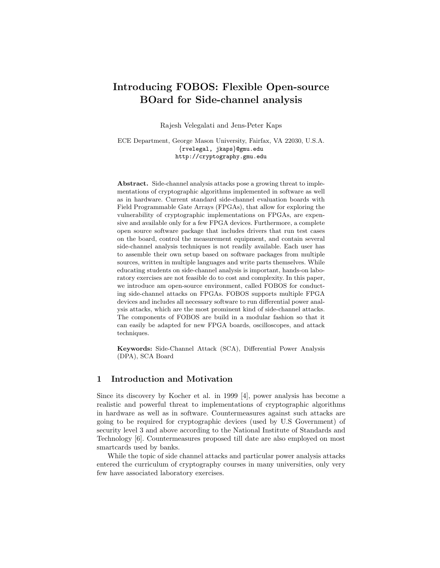# **Introducing FOBOS: Flexible Open-source BOard for Side-channel analysis**

Rajesh Velegalati and Jens-Peter Kaps

ECE Department, George Mason University, Fairfax, VA 22030, U.S.A. *{*rvelegal, jkaps*}*@gmu.edu http://cryptography.gmu.edu

**Abstract.** Side-channel analysis attacks pose a growing threat to implementations of cryptographic algorithms implemented in software as well as in hardware. Current standard side-channel evaluation boards with Field Programmable Gate Arrays (FPGAs), that allow for exploring the vulnerability of cryptographic implementations on FPGAs, are expensive and available only for a few FPGA devices. Furthermore, a complete open source software package that includes drivers that run test cases on the board, control the measurement equipment, and contain several side-channel analysis techniques is not readily available. Each user has to assemble their own setup based on software packages from multiple sources, written in multiple languages and write parts themselves. While educating students on side-channel analysis is important, hands-on laboratory exercises are not feasible do to cost and complexity. In this paper, we introduce am open-source environment, called FOBOS for conducting side-channel attacks on FPGAs. FOBOS supports multiple FPGA devices and includes all necessary software to run differential power analysis attacks, which are the most prominent kind of side-channel attacks. The components of FOBOS are build in a modular fashion so that it can easily be adapted for new FPGA boards, oscilloscopes, and attack techniques.

**Keywords:** Side-Channel Attack (SCA), Differential Power Analysis (DPA), SCA Board

#### **1 Introduction and Motivation**

Since its discovery by Kocher et al. in 1999 [4], power analysis has become a realistic and powerful threat to implementations of cryptographic algorithms in hardware as well as in software. Countermeasures against such attacks are going to be required for cryptographic devices (used by U.S Government) of security level 3 and above according to the National Institute of Standards and Technology [6]. Countermeasures proposed till date are also employed on most smartcards used by banks.

While the topic of side channel attacks and particular power analysis attacks entered the curriculum of cryptography courses in many universities, only very few have associated laboratory exercises.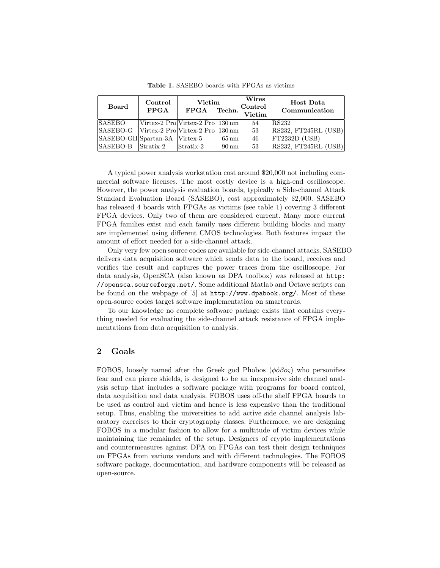| <b>Board</b>                   | Control<br><b>FPGA</b> | Victim<br>FPGA                                                   | Techn.             | Wires<br>$ {\rm Control} -$<br>Victim | <b>Host Data</b><br>Communication |
|--------------------------------|------------------------|------------------------------------------------------------------|--------------------|---------------------------------------|-----------------------------------|
| <b>SASEBO</b>                  |                        | Virtex-2 Pro Virtex-2 Pro   130 nm                               |                    | 54                                    | RS232                             |
| SASEBO-G                       |                        | $\vert$ Virtex-2 Pro $\vert$ Virtex-2 Pro $\vert$ 130 nm $\vert$ |                    | 53                                    | RS232, FT245RL (USB)              |
| SASEBO-GII Spartan-3A Virtex-5 |                        |                                                                  | $65 \text{ nm}$    | 46                                    | FT2232D (USB)                     |
| <b>SASEBO-B</b>                | Stratix-2              | $\mathrm{Stratix}\text{-}2$                                      | $90 \,\mathrm{nm}$ | 53                                    | RS232, FT245RL (USB)              |

**Table 1.** SASEBO boards with FPGAs as victims

A typical power analysis workstation cost around \$20,000 not including commercial software licenses. The most costly device is a high-end oscilloscope. However, the power analysis evaluation boards, typically a Side-channel Attack Standard Evaluation Board (SASEBO), cost approximately \$2,000. SASEBO has released 4 boards with FPGAs as victims (see table 1) covering 3 different FPGA devices. Only two of them are considered current. Many more current FPGA families exist and each family uses different building blocks and many are implemented using different CMOS technologies. Both features impact the amount of effort needed for a side-channel attack.

Only very few open source codes are available for side-channel attacks. SASEBO delivers data acquisition software which sends data to the board, receives and verifies the result and captures the power traces from the oscilloscope. For data analysis, OpenSCA (also known as DPA toolbox) was released at http: //opensca.sourceforge.net/. Some additional Matlab and Octave scripts can be found on the webpage of  $[5]$  at  $http://www.dpabook.org/$ . Most of these open-source codes target software implementation on smartcards.

To our knowledge no complete software package exists that contains everything needed for evaluating the side-channel attack resistance of FPGA implementations from data acquisition to analysis.

# **2 Goals**

FOBOS, loosely named after the Greek god Phobos  $(\phi \phi \beta o \varsigma)$  who personifies fear and can pierce shields, is designed to be an inexpensive side channel analysis setup that includes a software package with programs for board control, data acquisition and data analysis. FOBOS uses off-the shelf FPGA boards to be used as control and victim and hence is less expensive than the traditional setup. Thus, enabling the universities to add active side channel analysis laboratory exercises to their cryptography classes. Furthermore, we are designing FOBOS in a modular fashion to allow for a multitude of victim devices while maintaining the remainder of the setup. Designers of crypto implementations and countermeasures against DPA on FPGAs can test their design techniques on FPGAs from various vendors and with different technologies. The FOBOS software package, documentation, and hardware components will be released as open-source.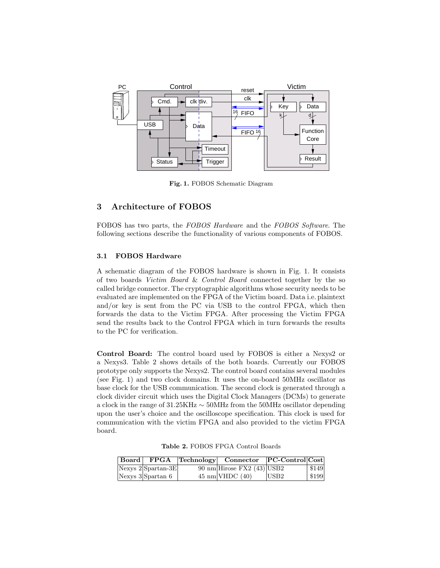

**Fig. 1.** FOBOS Schematic Diagram

# **3 Architecture of FOBOS**

FOBOS has two parts, the *FOBOS Hardware* and the *FOBOS Software*. The following sections describe the functionality of various components of FOBOS.

### **3.1 FOBOS Hardware**

A schematic diagram of the FOBOS hardware is shown in Fig. 1. It consists of two boards *Victim Board* & *Control Board* connected together by the so called bridge connector. The cryptographic algorithms whose security needs to be evaluated are implemented on the FPGA of the Victim board. Data i.e. plaintext and/or key is sent from the PC via USB to the control FPGA, which then forwards the data to the Victim FPGA. After processing the Victim FPGA send the results back to the Control FPGA which in turn forwards the results to the PC for verification.

**Control Board:** The control board used by FOBOS is either a Nexys2 or a Nexys3. Table 2 shows details of the both boards. Currently our FOBOS prototype only supports the Nexys2. The control board contains several modules (see Fig. 1) and two clock domains. It uses the on-board 50MHz oscillator as base clock for the USB communication. The second clock is generated through a clock divider circuit which uses the Digital Clock Managers (DCMs) to generate a clock in the range of 31.25KHz *∼* 50MHz from the 50MHz oscillator depending upon the user's choice and the oscilloscope specification. This clock is used for communication with the victim FPGA and also provided to the victim FPGA board.

**Table 2.** FOBOS FPGA Control Boards

| $\mid$ Board $\mid$ |                      | FPGA Technology Connector PC-Control Cost |                  |           |
|---------------------|----------------------|-------------------------------------------|------------------|-----------|
|                     | $Nexys 2$ Spartan-3E | 90 nm Hirose FX2 $(43)$ USB2              |                  | \$149     |
|                     | $N$ exys 3 Spartan 6 | $45 \text{ nm}$ VHDC $(40)$               | USB <sub>2</sub> | $ $ \$199 |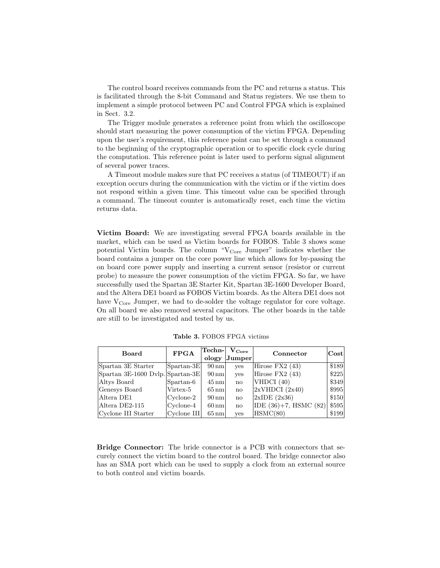The control board receives commands from the PC and returns a status. This is facilitated through the 8-bit Command and Status registers. We use them to implement a simple protocol between PC and Control FPGA which is explained in Sect. 3.2.

The Trigger module generates a reference point from which the oscilloscope should start measuring the power consumption of the victim FPGA. Depending upon the user's requirement, this reference point can be set through a command to the beginning of the cryptographic operation or to specific clock cycle during the computation. This reference point is later used to perform signal alignment of several power traces.

A Timeout module makes sure that PC receives a status (of TIMEOUT) if an exception occurs during the communication with the victim or if the victim does not respond within a given time. This timeout value can be specified through a command. The timeout counter is automatically reset, each time the victim returns data.

**Victim Board:** We are investigating several FPGA boards available in the market, which can be used as Victim boards for FOBOS. Table 3 shows some potential Victim boards. The column " $V_{Core}$  Jumper" indicates whether the board contains a jumper on the core power line which allows for by-passing the on board core power supply and inserting a current sensor (resistor or current probe) to measure the power consumption of the victim FPGA. So far, we have successfully used the Spartan 3E Starter Kit, Spartan 3E-1600 Developer Board, and the Altera DE1 board as FOBOS Victim boards. As the Altera DE1 does not have  $V_{\text{Core}}$  Jumper, we had to de-solder the voltage regulator for core voltage. On all board we also removed several capacitors. The other boards in the table are still to be investigated and tested by us.

| <b>Board</b>                     | <b>FPGA</b>         | Techn- <br>$\rm V_{Core}$ |                        | Connector             | $ {\rm Cost} $ |
|----------------------------------|---------------------|---------------------------|------------------------|-----------------------|----------------|
|                                  |                     | ology                     | $ J$ umper             |                       |                |
| Spartan 3E Starter               | Spartan-3E          | $90 \,\mathrm{nm}$        | <b>ves</b>             | Hirose $FX2(43)$      | \$189          |
| Spartan 3E-1600 Dvlp. Spartan-3E |                     | $90 \,\mathrm{nm}$        | yes                    | Hirose $FX2(43)$      | \$225          |
| Altys Board                      | $Spartan-6$         | $45 \,\mathrm{nm}$        | $\mathbf{n}\mathbf{o}$ | VHDCI (40)            | \$349          |
| Genesys Board                    | Virtex-5            | $65 \,\mathrm{nm}$        | $\mathbf{n}\mathbf{o}$ | 2xVHDCI (2x40)        | \$995          |
| Altera DE1                       | $Cyclone-2$         | $90 \,\mathrm{nm}$        | $\mathbf{n}\mathbf{o}$ | 2xIDE(2x36)           | \$150          |
| Altera DE2-115                   | $ $ Cyclone-4       | $60 \,\mathrm{nm}$        | $\mathbf{n}\mathbf{o}$ | IDE (36)+7, HSMC (82) | \$595          |
| Cyclone III Starter              | $ $ Cyclone III $ $ | $65 \,\mathrm{nm}$        | <b>ves</b>             | HSMC(80)              | \$199          |

**Table 3.** FOBOS FPGA victims

**Bridge Connector:** The bride connector is a PCB with connectors that securely connect the victim board to the control board. The bridge connector also has an SMA port which can be used to supply a clock from an external source to both control and victim boards.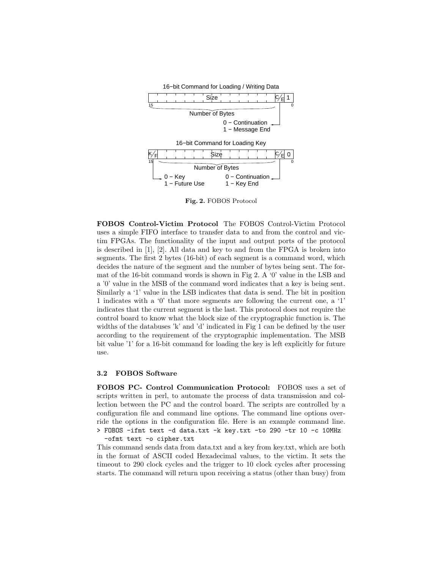

**Fig. 2.** FOBOS Protocol

**FOBOS Control-Victim Protocol** The FOBOS Control-Victim Protocol uses a simple FIFO interface to transfer data to and from the control and victim FPGAs. The functionality of the input and output ports of the protocol is described in [1], [2]. All data and key to and from the FPGA is broken into segments. The first 2 bytes (16-bit) of each segment is a command word, which decides the nature of the segment and the number of bytes being sent. The format of the 16-bit command words is shown in Fig 2. A '0' value in the LSB and a '0' value in the MSB of the command word indicates that a key is being sent. Similarly a '1' value in the LSB indicates that data is send. The bit in position 1 indicates with a '0' that more segments are following the current one, a '1' indicates that the current segment is the last. This protocol does not require the control board to know what the block size of the cryptographic function is. The widths of the databuses 'k' and 'd' indicated in Fig 1 can be defined by the user according to the requirement of the cryptographic implementation. The MSB bit value '1' for a 16-bit command for loading the key is left explicitly for future use.

#### **3.2 FOBOS Software**

**FOBOS PC- Control Communication Protocol:** FOBOS uses a set of scripts written in perl, to automate the process of data transmission and collection between the PC and the control board. The scripts are controlled by a configuration file and command line options. The command line options override the options in the configuration file. Here is an example command line. > FOBOS -ifmt text -d data.txt -k key.txt -to 290 -tr 10 -c 10MHz

-ofmt text -o cipher.txt

This command sends data from data.txt and a key from key.txt, which are both in the format of ASCII coded Hexadecimal values, to the victim. It sets the timeout to 290 clock cycles and the trigger to 10 clock cycles after processing starts. The command will return upon receiving a status (other than busy) from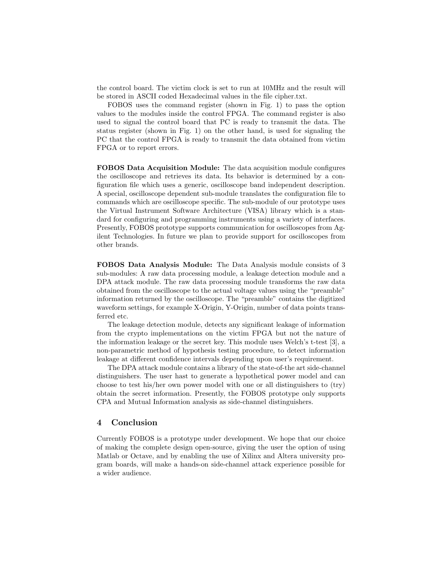the control board. The victim clock is set to run at 10MHz and the result will be stored in ASCII coded Hexadecimal values in the file cipher.txt.

FOBOS uses the command register (shown in Fig. 1) to pass the option values to the modules inside the control FPGA. The command register is also used to signal the control board that PC is ready to transmit the data. The status register (shown in Fig. 1) on the other hand, is used for signaling the PC that the control FPGA is ready to transmit the data obtained from victim FPGA or to report errors.

**FOBOS Data Acquisition Module:** The data acquisition module configures the oscilloscope and retrieves its data. Its behavior is determined by a configuration file which uses a generic, oscilloscope band independent description. A special, oscilloscope dependent sub-module translates the configuration file to commands which are oscilloscope specific. The sub-module of our prototype uses the Virtual Instrument Software Architecture (VISA) library which is a standard for configuring and programming instruments using a variety of interfaces. Presently, FOBOS prototype supports communication for oscilloscopes from Agilent Technologies. In future we plan to provide support for oscilloscopes from other brands.

**FOBOS Data Analysis Module:** The Data Analysis module consists of 3 sub-modules: A raw data processing module, a leakage detection module and a DPA attack module. The raw data processing module transforms the raw data obtained from the oscilloscope to the actual voltage values using the "preamble" information returned by the oscilloscope. The "preamble" contains the digitized waveform settings, for example X-Origin, Y-Origin, number of data points transferred etc.

The leakage detection module, detects any significant leakage of information from the crypto implementations on the victim FPGA but not the nature of the information leakage or the secret key. This module uses Welch's t-test [3], a non-parametric method of hypothesis testing procedure, to detect information leakage at different confidence intervals depending upon user's requirement.

The DPA attack module contains a library of the state-of-the art side-channel distinguishers. The user hast to generate a hypothetical power model and can choose to test his/her own power model with one or all distinguishers to (try) obtain the secret information. Presently, the FOBOS prototype only supports CPA and Mutual Information analysis as side-channel distinguishers.

#### **4 Conclusion**

Currently FOBOS is a prototype under development. We hope that our choice of making the complete design open-source, giving the user the option of using Matlab or Octave, and by enabling the use of Xilinx and Altera university program boards, will make a hands-on side-channel attack experience possible for a wider audience.